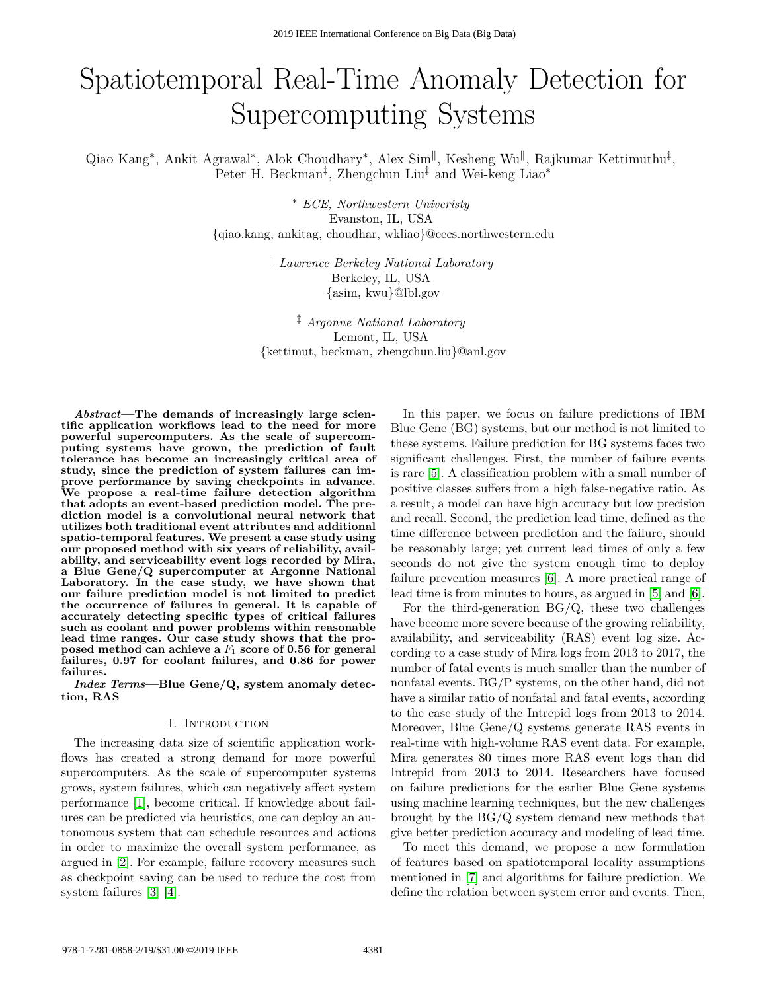# Spatiotemporal Real-Time Anomaly Detection for Supercomputing Systems

Qiao Kang<sup>∗</sup>, Ankit Agrawal<sup>∗</sup>, Alok Choudhary<sup>∗</sup>, Alex Sim<sup>||</sup>, Kesheng Wu<sup>||</sup>, Rajkumar Kettimuthu<sup>‡</sup>, Peter H. Beckman<sup>‡</sup>, Zhengchun Liu<sup>‡</sup> and Wei-keng Liao<sup>∗</sup>

> <sup>∗</sup> *ECE, Northwestern Univeristy* Evanston, IL, USA {qiao.kang, ankitag, choudhar, wkliao}@eecs.northwestern.edu

> > <sup>k</sup> *Lawrence Berkeley National Laboratory* Berkeley, IL, USA {asim, kwu}@lbl.gov

‡ *Argonne National Laboratory* Lemont, IL, USA {kettimut, beckman, zhengchun.liu}@anl.gov

*Abstract***—The demands of increasingly large scientific application workflows lead to the need for more powerful supercomputers. As the scale of supercomputing systems have grown, the prediction of fault tolerance has become an increasingly critical area of study, since the prediction of system failures can improve performance by saving checkpoints in advance. We propose a real-time failure detection algorithm that adopts an event-based prediction model. The prediction model is a convolutional neural network that utilizes both traditional event attributes and additional spatio-temporal features. We present a case study using our proposed method with six years of reliability, availability, and serviceability event logs recorded by Mira, a Blue Gene/Q supercomputer at Argonne National Laboratory. In the case study, we have shown that our failure prediction model is not limited to predict the occurrence of failures in general. It is capable of accurately detecting specific types of critical failures such as coolant and power problems within reasonable lead time ranges. Our case study shows that the proposed method can achieve a** *F*<sup>1</sup> **score of 0.56 for general failures, 0.97 for coolant failures, and 0.86 for power failures.**

*Index Terms***—Blue Gene/Q, system anomaly detection, RAS**

#### I. Introduction

The increasing data size of scientific application workflows has created a strong demand for more powerful supercomputers. As the scale of supercomputer systems grows, system failures, which can negatively affect system performance [\[1\]](#page-8-0), become critical. If knowledge about failures can be predicted via heuristics, one can deploy an autonomous system that can schedule resources and actions in order to maximize the overall system performance, as argued in [\[2\]](#page-8-1). For example, failure recovery measures such as checkpoint saving can be used to reduce the cost from system failures [\[3\]](#page-8-2) [\[4\]](#page-8-3).

In this paper, we focus on failure predictions of IBM Blue Gene (BG) systems, but our method is not limited to these systems. Failure prediction for BG systems faces two significant challenges. First, the number of failure events is rare [\[5\]](#page-8-4). A classification problem with a small number of positive classes suffers from a high false-negative ratio. As a result, a model can have high accuracy but low precision and recall. Second, the prediction lead time, defined as the time difference between prediction and the failure, should be reasonably large; yet current lead times of only a few seconds do not give the system enough time to deploy failure prevention measures [\[6\]](#page-8-5). A more practical range of lead time is from minutes to hours, as argued in [\[5\]](#page-8-4) and [\[6\]](#page-8-5).

For the third-generation  $BG/Q$ , these two challenges have become more severe because of the growing reliability, availability, and serviceability (RAS) event log size. According to a case study of Mira logs from 2013 to 2017, the number of fatal events is much smaller than the number of nonfatal events. BG/P systems, on the other hand, did not have a similar ratio of nonfatal and fatal events, according to the case study of the Intrepid logs from 2013 to 2014. Moreover, Blue Gene/Q systems generate RAS events in real-time with high-volume RAS event data. For example, Mira generates 80 times more RAS event logs than did Intrepid from 2013 to 2014. Researchers have focused on failure predictions for the earlier Blue Gene systems using machine learning techniques, but the new challenges brought by the BG/Q system demand new methods that give better prediction accuracy and modeling of lead time.

To meet this demand, we propose a new formulation of features based on spatiotemporal locality assumptions mentioned in [\[7\]](#page-8-6) and algorithms for failure prediction. We define the relation between system error and events. Then,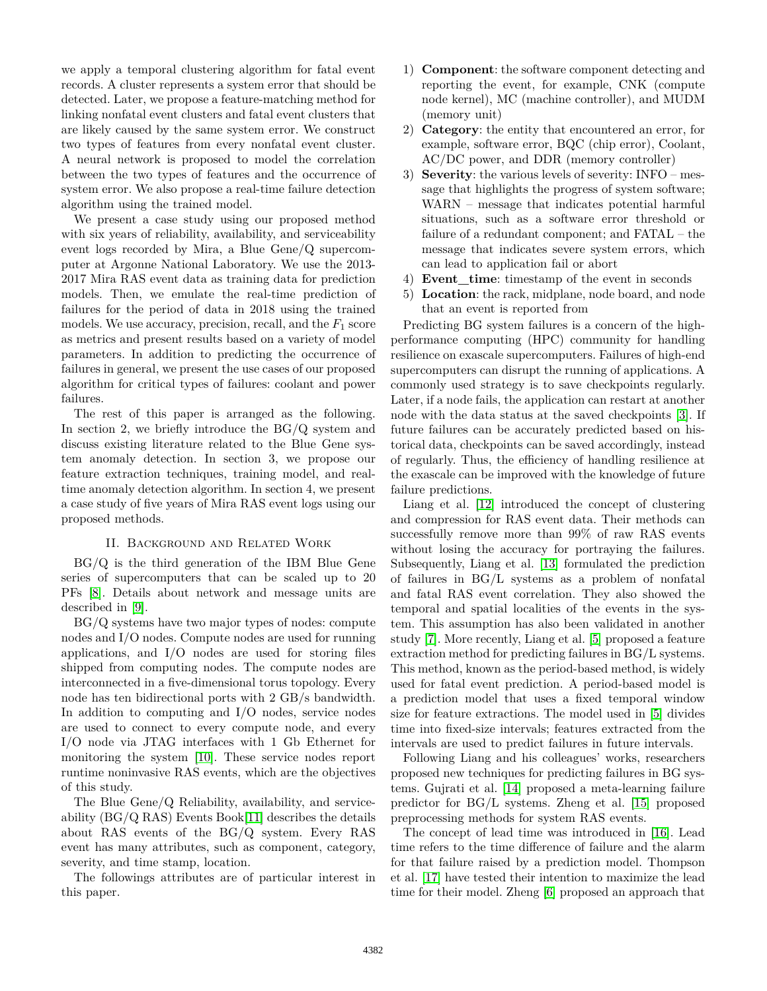we apply a temporal clustering algorithm for fatal event records. A cluster represents a system error that should be detected. Later, we propose a feature-matching method for linking nonfatal event clusters and fatal event clusters that are likely caused by the same system error. We construct two types of features from every nonfatal event cluster. A neural network is proposed to model the correlation between the two types of features and the occurrence of system error. We also propose a real-time failure detection algorithm using the trained model.

We present a case study using our proposed method with six years of reliability, availability, and serviceability event logs recorded by Mira, a Blue Gene/Q supercomputer at Argonne National Laboratory. We use the 2013- 2017 Mira RAS event data as training data for prediction models. Then, we emulate the real-time prediction of failures for the period of data in 2018 using the trained models. We use accuracy, precision, recall, and the *F*<sup>1</sup> score as metrics and present results based on a variety of model parameters. In addition to predicting the occurrence of failures in general, we present the use cases of our proposed algorithm for critical types of failures: coolant and power failures.

The rest of this paper is arranged as the following. In section 2, we briefly introduce the BG/Q system and discuss existing literature related to the Blue Gene system anomaly detection. In section 3, we propose our feature extraction techniques, training model, and realtime anomaly detection algorithm. In section 4, we present a case study of five years of Mira RAS event logs using our proposed methods.

## II. Background and Related Work

BG/Q is the third generation of the IBM Blue Gene series of supercomputers that can be scaled up to 20 PFs [\[8\]](#page-8-7). Details about network and message units are described in [\[9\]](#page-8-8).

BG/Q systems have two major types of nodes: compute nodes and I/O nodes. Compute nodes are used for running applications, and I/O nodes are used for storing files shipped from computing nodes. The compute nodes are interconnected in a five-dimensional torus topology. Every node has ten bidirectional ports with 2 GB/s bandwidth. In addition to computing and I/O nodes, service nodes are used to connect to every compute node, and every I/O node via JTAG interfaces with 1 Gb Ethernet for monitoring the system [\[10\]](#page-8-9). These service nodes report runtime noninvasive RAS events, which are the objectives of this study.

The Blue Gene/Q Reliability, availability, and serviceability (BG/Q RAS) Events Book[\[11\]](#page-8-10) describes the details about RAS events of the BG/Q system. Every RAS event has many attributes, such as component, category, severity, and time stamp, location.

The followings attributes are of particular interest in this paper.

- 1) **Component**: the software component detecting and reporting the event, for example, CNK (compute node kernel), MC (machine controller), and MUDM (memory unit)
- 2) **Category**: the entity that encountered an error, for example, software error, BQC (chip error), Coolant, AC/DC power, and DDR (memory controller)
- 3) **Severity**: the various levels of severity: INFO message that highlights the progress of system software; WARN – message that indicates potential harmful situations, such as a software error threshold or failure of a redundant component; and FATAL – the message that indicates severe system errors, which can lead to application fail or abort
- 4) **Event\_time**: timestamp of the event in seconds
- 5) **Location**: the rack, midplane, node board, and node that an event is reported from

Predicting BG system failures is a concern of the highperformance computing (HPC) community for handling resilience on exascale supercomputers. Failures of high-end supercomputers can disrupt the running of applications. A commonly used strategy is to save checkpoints regularly. Later, if a node fails, the application can restart at another node with the data status at the saved checkpoints [\[3\]](#page-8-2). If future failures can be accurately predicted based on historical data, checkpoints can be saved accordingly, instead of regularly. Thus, the efficiency of handling resilience at the exascale can be improved with the knowledge of future failure predictions.

Liang et al. [\[12\]](#page-8-11) introduced the concept of clustering and compression for RAS event data. Their methods can successfully remove more than 99% of raw RAS events without losing the accuracy for portraying the failures. Subsequently, Liang et al. [\[13\]](#page-8-12) formulated the prediction of failures in BG/L systems as a problem of nonfatal and fatal RAS event correlation. They also showed the temporal and spatial localities of the events in the system. This assumption has also been validated in another study [\[7\]](#page-8-6). More recently, Liang et al. [\[5\]](#page-8-4) proposed a feature extraction method for predicting failures in BG/L systems. This method, known as the period-based method, is widely used for fatal event prediction. A period-based model is a prediction model that uses a fixed temporal window size for feature extractions. The model used in [\[5\]](#page-8-4) divides time into fixed-size intervals; features extracted from the intervals are used to predict failures in future intervals.

Following Liang and his colleagues' works, researchers proposed new techniques for predicting failures in BG systems. Gujrati et al. [\[14\]](#page-8-13) proposed a meta-learning failure predictor for BG/L systems. Zheng et al. [\[15\]](#page-8-14) proposed preprocessing methods for system RAS events.

The concept of lead time was introduced in [\[16\]](#page-8-15). Lead time refers to the time difference of failure and the alarm for that failure raised by a prediction model. Thompson et al. [\[17\]](#page-8-16) have tested their intention to maximize the lead time for their model. Zheng [\[6\]](#page-8-5) proposed an approach that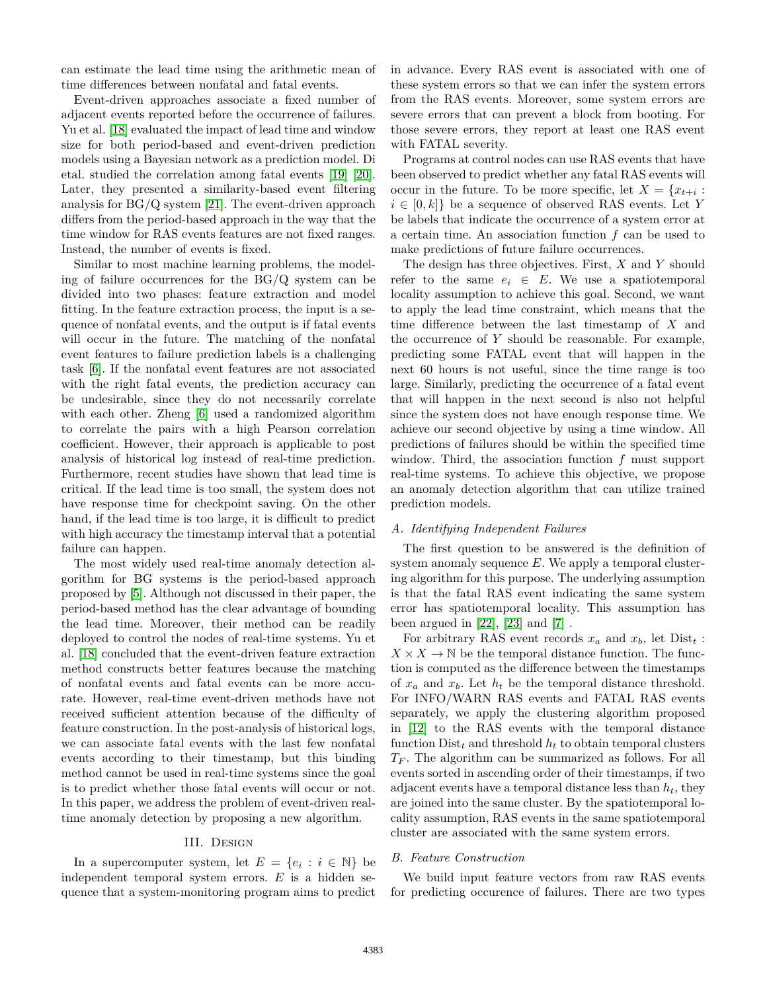can estimate the lead time using the arithmetic mean of time differences between nonfatal and fatal events.

Event-driven approaches associate a fixed number of adjacent events reported before the occurrence of failures. Yu et al. [\[18\]](#page-8-17) evaluated the impact of lead time and window size for both period-based and event-driven prediction models using a Bayesian network as a prediction model. Di etal. studied the correlation among fatal events [\[19\]](#page-8-18) [\[20\]](#page-8-19). Later, they presented a similarity-based event filtering analysis for BG/Q system [\[21\]](#page-8-20). The event-driven approach differs from the period-based approach in the way that the time window for RAS events features are not fixed ranges. Instead, the number of events is fixed.

Similar to most machine learning problems, the modeling of failure occurrences for the BG/Q system can be divided into two phases: feature extraction and model fitting. In the feature extraction process, the input is a sequence of nonfatal events, and the output is if fatal events will occur in the future. The matching of the nonfatal event features to failure prediction labels is a challenging task [\[6\]](#page-8-5). If the nonfatal event features are not associated with the right fatal events, the prediction accuracy can be undesirable, since they do not necessarily correlate with each other. Zheng [\[6\]](#page-8-5) used a randomized algorithm to correlate the pairs with a high Pearson correlation coefficient. However, their approach is applicable to post analysis of historical log instead of real-time prediction. Furthermore, recent studies have shown that lead time is critical. If the lead time is too small, the system does not have response time for checkpoint saving. On the other hand, if the lead time is too large, it is difficult to predict with high accuracy the timestamp interval that a potential failure can happen.

The most widely used real-time anomaly detection algorithm for BG systems is the period-based approach proposed by [\[5\]](#page-8-4). Although not discussed in their paper, the period-based method has the clear advantage of bounding the lead time. Moreover, their method can be readily deployed to control the nodes of real-time systems. Yu et al. [\[18\]](#page-8-17) concluded that the event-driven feature extraction method constructs better features because the matching of nonfatal events and fatal events can be more accurate. However, real-time event-driven methods have not received sufficient attention because of the difficulty of feature construction. In the post-analysis of historical logs, we can associate fatal events with the last few nonfatal events according to their timestamp, but this binding method cannot be used in real-time systems since the goal is to predict whether those fatal events will occur or not. In this paper, we address the problem of event-driven realtime anomaly detection by proposing a new algorithm.

#### III. Design

In a supercomputer system, let  $E = \{e_i : i \in \mathbb{N}\}\)$ independent temporal system errors. *E* is a hidden sequence that a system-monitoring program aims to predict in advance. Every RAS event is associated with one of these system errors so that we can infer the system errors from the RAS events. Moreover, some system errors are severe errors that can prevent a block from booting. For those severe errors, they report at least one RAS event with FATAL severity.

Programs at control nodes can use RAS events that have been observed to predict whether any fatal RAS events will occur in the future. To be more specific, let  $X = \{x_{t+i} :$  $i \in [0, k]$  be a sequence of observed RAS events. Let *Y* be labels that indicate the occurrence of a system error at a certain time. An association function *f* can be used to make predictions of future failure occurrences.

The design has three objectives. First, *X* and *Y* should refer to the same  $e_i \in E$ . We use a spatiotemporal locality assumption to achieve this goal. Second, we want to apply the lead time constraint, which means that the time difference between the last timestamp of *X* and the occurrence of *Y* should be reasonable. For example, predicting some FATAL event that will happen in the next 60 hours is not useful, since the time range is too large. Similarly, predicting the occurrence of a fatal event that will happen in the next second is also not helpful since the system does not have enough response time. We achieve our second objective by using a time window. All predictions of failures should be within the specified time window. Third, the association function *f* must support real-time systems. To achieve this objective, we propose an anomaly detection algorithm that can utilize trained prediction models.

#### <span id="page-2-1"></span>*A. Identifying Independent Failures*

The first question to be answered is the definition of system anomaly sequence *E*. We apply a temporal clustering algorithm for this purpose. The underlying assumption is that the fatal RAS event indicating the same system error has spatiotemporal locality. This assumption has been argued in  $[22]$ ,  $[23]$  and  $[7]$ .

For arbitrary RAS event records  $x_a$  and  $x_b$ , let  $Dist_t$ :  $X \times X \to \mathbb{N}$  be the temporal distance function. The function is computed as the difference between the timestamps of  $x_a$  and  $x_b$ . Let  $h_t$  be the temporal distance threshold. For INFO/WARN RAS events and FATAL RAS events separately, we apply the clustering algorithm proposed in [\[12\]](#page-8-11) to the RAS events with the temporal distance function  $Dist_t$  and threshold  $h_t$  to obtain temporal clusters *T<sup>F</sup>* . The algorithm can be summarized as follows. For all events sorted in ascending order of their timestamps, if two adjacent events have a temporal distance less than *ht*, they are joined into the same cluster. By the spatiotemporal locality assumption, RAS events in the same spatiotemporal cluster are associated with the same system errors.

## <span id="page-2-0"></span>*B. Feature Construction*

We build input feature vectors from raw RAS events for predicting occurence of failures. There are two types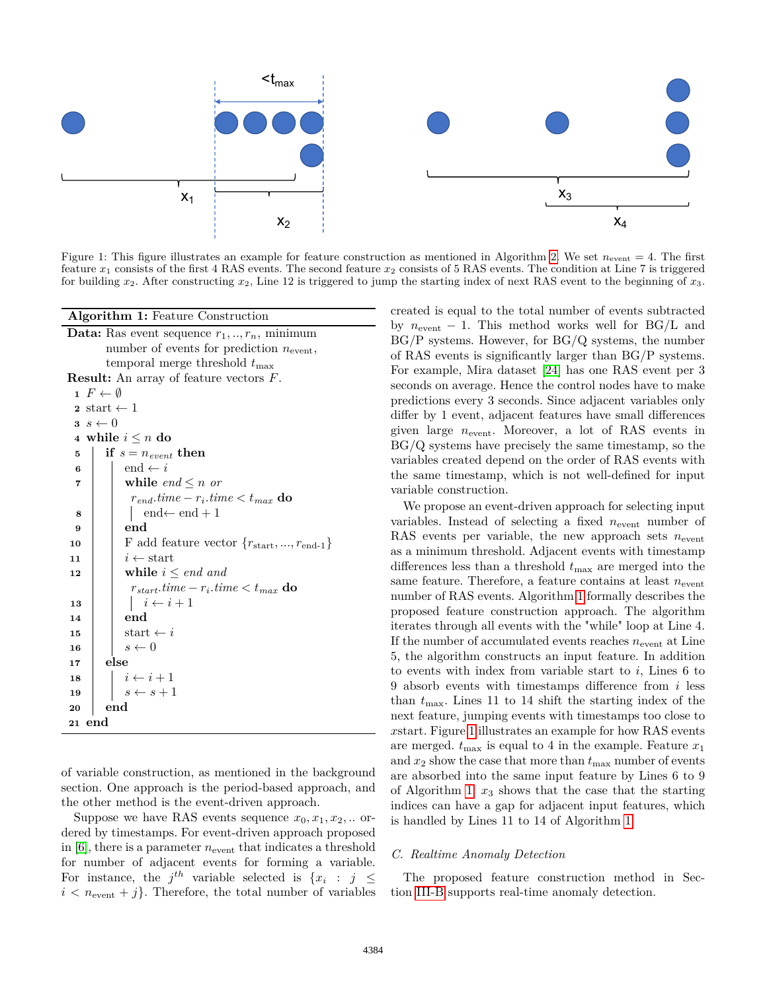<span id="page-3-1"></span>

Figure 1: This figure illustrates an example for feature construction as mentioned in Algorithm [2.](#page-4-0) We set  $n_{event} = 4$ . The first feature *x*<sup>1</sup> consists of the first 4 RAS events. The second feature *x*<sup>2</sup> consists of 5 RAS events. The condition at Line 7 is triggered for building *x*2. After constructing *x*2, Line 12 is triggered to jump the starting index of next RAS event to the beginning of *x*3.

**Algorithm 1:** Feature Construction

**Data:** Ras event sequence  $r_1, \ldots, r_n$ , minimum number of events for prediction  $n_{\text{event}}$ , temporal merge threshold  $t_{\text{max}}$ 

**Result:** An array of feature vectors *F*.

|                         | $1 \tF \leftarrow \emptyset$                         |  |  |  |  |  |
|-------------------------|------------------------------------------------------|--|--|--|--|--|
|                         | $\texttt{2} \ \ \text{start} \gets 1$                |  |  |  |  |  |
|                         | $s \leftarrow 0$                                     |  |  |  |  |  |
|                         | 4 while $i \leq n$ do                                |  |  |  |  |  |
| 5                       | if $s = n_{event}$ then                              |  |  |  |  |  |
| 6                       | end $\leftarrow i$                                   |  |  |  |  |  |
| $\overline{\mathbf{r}}$ | while end $\leq n$ or                                |  |  |  |  |  |
|                         | $r_{end}.time - r_i.time < t_{max}$ do               |  |  |  |  |  |
| 8                       | $\vert$ end $\leftarrow$ end $+1$                    |  |  |  |  |  |
| 9                       | end                                                  |  |  |  |  |  |
| 10                      | F add feature vector ${r_{start},,r_{end-1}}$        |  |  |  |  |  |
| 11                      | $i \leftarrow$ start                                 |  |  |  |  |  |
| 12                      | while $i \leq end$ and                               |  |  |  |  |  |
|                         | $r_{start}.$ time – $r_i.$ time $\lt t_{max}$ do     |  |  |  |  |  |
| 13                      | $\begin{array}{c} \n i \leftarrow i+1\n \end{array}$ |  |  |  |  |  |
| 14                      | end                                                  |  |  |  |  |  |
| 15                      | start $\leftarrow i$                                 |  |  |  |  |  |
| 16                      | $s \leftarrow 0$                                     |  |  |  |  |  |
| 17                      | else                                                 |  |  |  |  |  |
| 18                      | $i \leftarrow i+1$<br>$s \leftarrow s+1$             |  |  |  |  |  |
| 19                      |                                                      |  |  |  |  |  |
| 20                      | $_{\mathrm{end}}$                                    |  |  |  |  |  |
|                         | 21 end                                               |  |  |  |  |  |

<span id="page-3-0"></span>of variable construction, as mentioned in the background section. One approach is the period-based approach, and the other method is the event-driven approach.

Suppose we have RAS events sequence  $x_0, x_1, x_2, \ldots$  ordered by timestamps. For event-driven approach proposed in  $[6]$ , there is a parameter  $n_{\text{event}}$  that indicates a threshold for number of adjacent events for forming a variable. For instance, the  $j^{th}$  variable selected is  $\{x_i : j \leq j \}$  $i < n_{\text{event}} + j$ . Therefore, the total number of variables created is equal to the total number of events subtracted by  $n_{\text{event}} - 1$ . This method works well for BG/L and BG/P systems. However, for BG/Q systems, the number of RAS events is significantly larger than BG/P systems. For example, Mira dataset [\[24\]](#page-8-23) has one RAS event per 3 seconds on average. Hence the control nodes have to make predictions every 3 seconds. Since adjacent variables only differ by 1 event, adjacent features have small differences given large *n*event. Moreover, a lot of RAS events in BG/Q systems have precisely the same timestamp, so the variables created depend on the order of RAS events with the same timestamp, which is not well-defined for input variable construction.

We propose an event-driven approach for selecting input variables. Instead of selecting a fixed  $n_{\text{event}}$  number of RAS events per variable, the new approach sets  $n_{\text{event}}$ as a minimum threshold. Adjacent events with timestamp differences less than a threshold  $t_{\text{max}}$  are merged into the same feature. Therefore, a feature contains at least  $n_{\text{event}}$ number of RAS events. Algorithm [1](#page-3-0) formally describes the proposed feature construction approach. The algorithm iterates through all events with the "while" loop at Line 4. If the number of accumulated events reaches  $n_{\text{event}}$  at Line 5, the algorithm constructs an input feature. In addition to events with index from variable start to *i*, Lines 6 to 9 absorb events with timestamps difference from *i* less than  $t_{\text{max}}$ . Lines 11 to 14 shift the starting index of the next feature, jumping events with timestamps too close to *x*start. Figure [1](#page-3-1) illustrates an example for how RAS events are merged.  $t_{\text{max}}$  is equal to 4 in the example. Feature  $x_1$ and  $x_2$  show the case that more than  $t_{\text{max}}$  number of events are absorbed into the same input feature by Lines 6 to 9 of Algorithm [1.](#page-3-0) *x*<sup>3</sup> shows that the case that the starting indices can have a gap for adjacent input features, which is handled by Lines 11 to 14 of Algorithm [1.](#page-3-0)

# *C. Realtime Anomaly Detection*

The proposed feature construction method in Section [III-B](#page-2-0) supports real-time anomaly detection.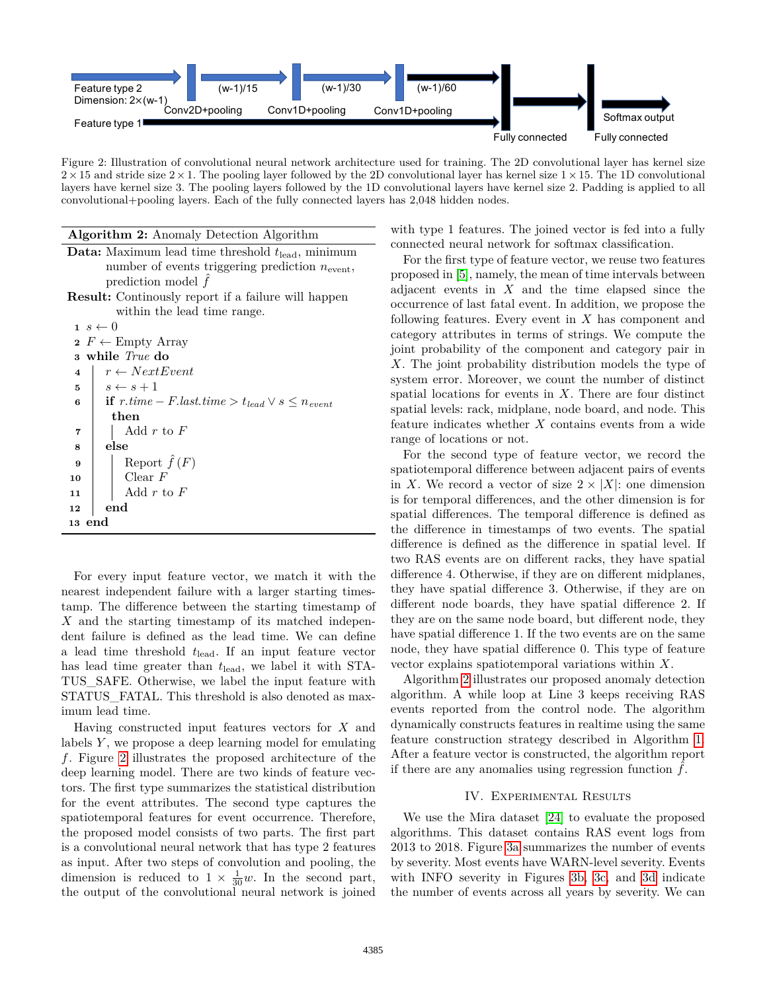<span id="page-4-1"></span>

Figure 2: Illustration of convolutional neural network architecture used for training. The 2D convolutional layer has kernel size  $2\times15$  and stride size  $2\times1$ . The pooling layer followed by the 2D convolutional layer has kernel size  $1\times15$ . The 1D convolutional layers have kernel size 3. The pooling layers followed by the 1D convolutional layers have kernel size 2. Padding is applied to all convolutional+pooling layers. Each of the fully connected layers has 2,048 hidden nodes.

| <b>Algorithm 2:</b> Anomaly Detection Algorithm                        |  |  |  |  |  |
|------------------------------------------------------------------------|--|--|--|--|--|
| <b>Data:</b> Maximum lead time threshold $t_{\text{lead}}$ , minimum   |  |  |  |  |  |
| number of events triggering prediction $n_{\text{event}}$ ,            |  |  |  |  |  |
| prediction model $\ddot{f}$                                            |  |  |  |  |  |
| <b>Result:</b> Continually report if a failure will happen             |  |  |  |  |  |
| within the lead time range.                                            |  |  |  |  |  |
| $1 s \leftarrow 0$                                                     |  |  |  |  |  |
| $\mathbf{2} \ F \leftarrow \text{Empty Array}$                         |  |  |  |  |  |
| 3 while True do                                                        |  |  |  |  |  |
| $r \leftarrow NextEvent$<br>$\overline{\mathbf{4}}$                    |  |  |  |  |  |
| $s \leftarrow s + 1$<br>5                                              |  |  |  |  |  |
| <b>if</b> $r.time - F-last.time > t_{lead} \vee s \leq n_{event}$<br>6 |  |  |  |  |  |
| then                                                                   |  |  |  |  |  |
| Add $r$ to $F$<br>7                                                    |  |  |  |  |  |
| else<br>8                                                              |  |  |  |  |  |
| Report $\hat{f}(F)$<br>9                                               |  |  |  |  |  |
| Clear $F$<br>10                                                        |  |  |  |  |  |
| Add $r$ to $F$<br>11                                                   |  |  |  |  |  |
| end<br>12                                                              |  |  |  |  |  |
| 13 end                                                                 |  |  |  |  |  |

<span id="page-4-0"></span>For every input feature vector, we match it with the nearest independent failure with a larger starting timestamp. The difference between the starting timestamp of *X* and the starting timestamp of its matched independent failure is defined as the lead time. We can define a lead time threshold *t*lead. If an input feature vector has lead time greater than *t*lead, we label it with STA-TUS\_SAFE. Otherwise, we label the input feature with STATUS\_FATAL. This threshold is also denoted as maximum lead time.

Having constructed input features vectors for *X* and labels *Y* , we propose a deep learning model for emulating *f*. Figure [2](#page-4-1) illustrates the proposed architecture of the deep learning model. There are two kinds of feature vectors. The first type summarizes the statistical distribution for the event attributes. The second type captures the spatiotemporal features for event occurrence. Therefore, the proposed model consists of two parts. The first part is a convolutional neural network that has type 2 features as input. After two steps of convolution and pooling, the dimension is reduced to  $1 \times \frac{1}{30}w$ . In the second part, the output of the convolutional neural network is joined with type 1 features. The joined vector is fed into a fully connected neural network for softmax classification.

For the first type of feature vector, we reuse two features proposed in [\[5\]](#page-8-4), namely, the mean of time intervals between adjacent events in *X* and the time elapsed since the occurrence of last fatal event. In addition, we propose the following features. Every event in *X* has component and category attributes in terms of strings. We compute the joint probability of the component and category pair in *X*. The joint probability distribution models the type of system error. Moreover, we count the number of distinct spatial locations for events in *X*. There are four distinct spatial levels: rack, midplane, node board, and node. This feature indicates whether *X* contains events from a wide range of locations or not.

For the second type of feature vector, we record the spatiotemporal difference between adjacent pairs of events in *X*. We record a vector of size  $2 \times |X|$ : one dimension is for temporal differences, and the other dimension is for spatial differences. The temporal difference is defined as the difference in timestamps of two events. The spatial difference is defined as the difference in spatial level. If two RAS events are on different racks, they have spatial difference 4. Otherwise, if they are on different midplanes, they have spatial difference 3. Otherwise, if they are on different node boards, they have spatial difference 2. If they are on the same node board, but different node, they have spatial difference 1. If the two events are on the same node, they have spatial difference 0. This type of feature vector explains spatiotemporal variations within *X*.

Algorithm [2](#page-4-0) illustrates our proposed anomaly detection algorithm. A while loop at Line 3 keeps receiving RAS events reported from the control node. The algorithm dynamically constructs features in realtime using the same feature construction strategy described in Algorithm [1.](#page-3-0) After a feature vector is constructed, the algorithm report if there are any anomalies using regression function  $\hat{f}$ .

## IV. Experimental Results

We use the Mira dataset [\[24\]](#page-8-23) to evaluate the proposed algorithms. This dataset contains RAS event logs from 2013 to 2018. Figure [3a](#page-5-0) summarizes the number of events by severity. Most events have WARN-level severity. Events with INFO severity in Figures [3b, 3c,](#page-5-0) and [3d](#page-5-0) indicate the number of events across all years by severity. We can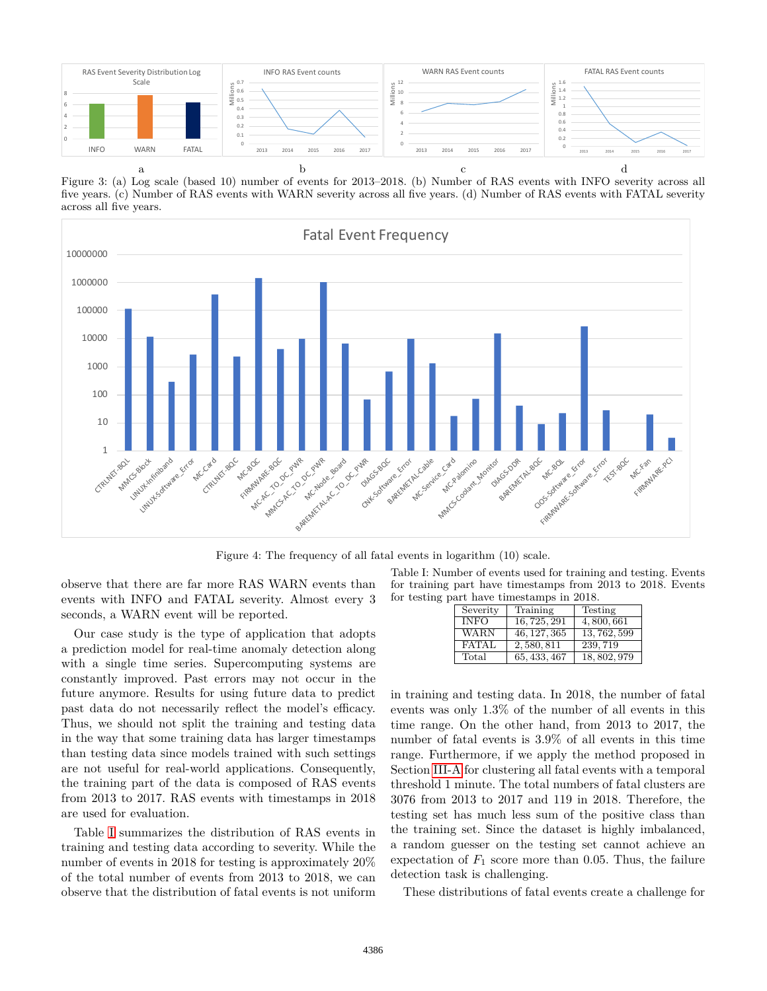<span id="page-5-0"></span>

Figure 3: (a) Log scale (based 10) number of events for 2013–2018. (b) Number of RAS events with INFO severity across all five years. (c) Number of RAS events with WARN severity across all five years. (d) Number of RAS events with FATAL severity across all five years.

<span id="page-5-2"></span>

Figure 4: The frequency of all fatal events in logarithm (10) scale.

observe that there are far more RAS WARN events than events with INFO and FATAL severity. Almost every 3 seconds, a WARN event will be reported.

Our case study is the type of application that adopts a prediction model for real-time anomaly detection along with a single time series. Supercomputing systems are constantly improved. Past errors may not occur in the future anymore. Results for using future data to predict past data do not necessarily reflect the model's efficacy. Thus, we should not split the training and testing data in the way that some training data has larger timestamps than testing data since models trained with such settings are not useful for real-world applications. Consequently, the training part of the data is composed of RAS events from 2013 to 2017. RAS events with timestamps in 2018 are used for evaluation.

Table [I](#page-5-1) summarizes the distribution of RAS events in training and testing data according to severity. While the number of events in 2018 for testing is approximately 20% of the total number of events from 2013 to 2018, we can observe that the distribution of fatal events is not uniform

<span id="page-5-1"></span>Table I: Number of events used for training and testing. Events for training part have timestamps from 2013 to 2018. Events for testing part have timestamps in 2018.

| Severity     | Training     | Testing      |
|--------------|--------------|--------------|
| <b>INFO</b>  | 16, 725, 291 | 4,800,661    |
| <b>WARN</b>  | 46, 127, 365 | 13, 762, 599 |
| <b>FATAL</b> | 2,580,811    | 239.719      |
| Total        | 65, 433, 467 | 18, 802, 979 |

in training and testing data. In 2018, the number of fatal events was only 1*.*3% of the number of all events in this time range. On the other hand, from 2013 to 2017, the number of fatal events is 3*.*9% of all events in this time range. Furthermore, if we apply the method proposed in Section [III-A](#page-2-1) for clustering all fatal events with a temporal threshold 1 minute. The total numbers of fatal clusters are 3076 from 2013 to 2017 and 119 in 2018. Therefore, the testing set has much less sum of the positive class than the training set. Since the dataset is highly imbalanced, a random guesser on the testing set cannot achieve an expectation of  $F_1$  score more than 0.05. Thus, the failure detection task is challenging.

These distributions of fatal events create a challenge for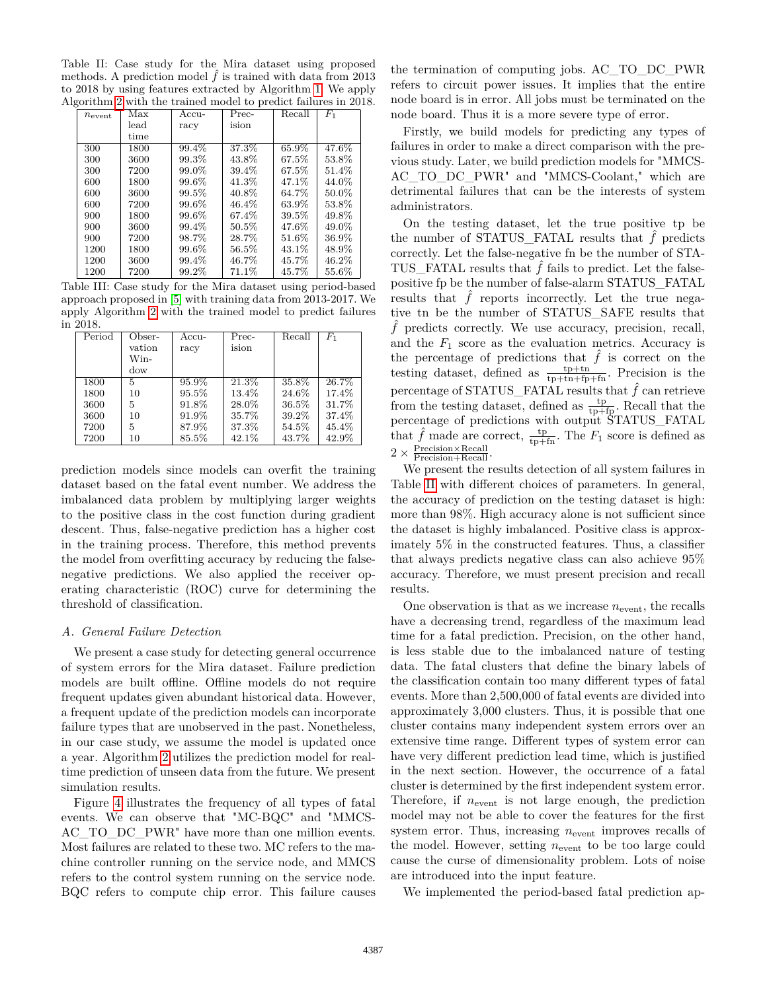<span id="page-6-0"></span>Table II: Case study for the Mira dataset using proposed methods. A prediction model  $\hat{f}$  is trained with data from 2013 to 2018 by using features extracted by Algorithm [1.](#page-3-0) We apply Algorithm [2](#page-4-0) with the trained model to predict failures in 2018.

| $n_{\rm event}$ | Max  | Accu-    | Prec- | Recall | $F_1$ |
|-----------------|------|----------|-------|--------|-------|
|                 | lead | racy     | ision |        |       |
|                 | time |          |       |        |       |
| 300             | 1800 | 99.4%    | 37.3% | 65.9%  | 47.6% |
| 300             | 3600 | 99.3%    | 43.8% | 67.5%  | 53.8% |
| 300             | 7200 | 99.0%    | 39.4% | 67.5%  | 51.4% |
| 600             | 1800 | 99.6%    | 41.3% | 47.1%  | 44.0% |
| 600             | 3600 | 99.5%    | 40.8% | 64.7%  | 50.0% |
| 600             | 7200 | $99.6\%$ | 46.4% | 63.9%  | 53.8% |
| 900             | 1800 | 99.6%    | 67.4% | 39.5%  | 49.8% |
| 900             | 3600 | 99.4%    | 50.5% | 47.6%  | 49.0% |
| 900             | 7200 | 98.7%    | 28.7% | 51.6%  | 36.9% |
| 1200            | 1800 | 99.6%    | 56.5% | 43.1%  | 48.9% |
| 1200            | 3600 | $99.4\%$ | 46.7% | 45.7%  | 46.2% |
| 1200            | 7200 | 99.2%    | 71.1% | 45.7%  | 55.6% |
|                 |      |          |       |        |       |

<span id="page-6-1"></span>Table III: Case study for the Mira dataset using period-based approach proposed in [\[5\]](#page-8-4) with training data from 2013-2017. We apply Algorithm [2](#page-4-0) with the trained model to predict failures in 2018.

| Period | Obser- | Accu- | Prec- | Recall | $_{F_1}$ |
|--------|--------|-------|-------|--------|----------|
|        | vation | racy  | ision |        |          |
|        | Win-   |       |       |        |          |
|        | dow    |       |       |        |          |
| 1800   | 5      | 95.9% | 21.3% | 35.8%  | 26.7%    |
| 1800   | 10     | 95.5% | 13.4% | 24.6%  | 17.4%    |
| 3600   | 5      | 91.8% | 28.0% | 36.5%  | 31.7%    |
| 3600   | 10     | 91.9% | 35.7% | 39.2%  | 37.4%    |
| 7200   | 5      | 87.9% | 37.3% | 54.5%  | 45.4%    |
| 7200   | 10     | 85.5% | 42.1% | 43.7%  | 42.9%    |

prediction models since models can overfit the training dataset based on the fatal event number. We address the imbalanced data problem by multiplying larger weights to the positive class in the cost function during gradient descent. Thus, false-negative prediction has a higher cost in the training process. Therefore, this method prevents the model from overfitting accuracy by reducing the falsenegative predictions. We also applied the receiver operating characteristic (ROC) curve for determining the threshold of classification.

#### *A. General Failure Detection*

We present a case study for detecting general occurrence of system errors for the Mira dataset. Failure prediction models are built offline. Offline models do not require frequent updates given abundant historical data. However, a frequent update of the prediction models can incorporate failure types that are unobserved in the past. Nonetheless, in our case study, we assume the model is updated once a year. Algorithm [2](#page-4-0) utilizes the prediction model for realtime prediction of unseen data from the future. We present simulation results.

Figure [4](#page-5-2) illustrates the frequency of all types of fatal events. We can observe that "MC-BQC" and "MMCS-AC\_TO\_DC\_PWR" have more than one million events. Most failures are related to these two. MC refers to the machine controller running on the service node, and MMCS refers to the control system running on the service node. BQC refers to compute chip error. This failure causes the termination of computing jobs. AC\_TO\_DC\_PWR refers to circuit power issues. It implies that the entire node board is in error. All jobs must be terminated on the node board. Thus it is a more severe type of error.

Firstly, we build models for predicting any types of failures in order to make a direct comparison with the previous study. Later, we build prediction models for "MMCS-AC\_TO\_DC\_PWR" and "MMCS-Coolant," which are detrimental failures that can be the interests of system administrators.

On the testing dataset, let the true positive tp be the number of STATUS FATAL results that  $\hat{f}$  predicts correctly. Let the false-negative fn be the number of STA-TUS\_FATAL results that  $\hat{f}$  fails to predict. Let the falsepositive fp be the number of false-alarm STATUS\_FATAL results that  $\hat{f}$  reports incorrectly. Let the true negative tn be the number of STATUS\_SAFE results that  $\hat{f}$  predicts correctly. We use accuracy, precision, recall, and the  $F_1$  score as the evaluation metrics. Accuracy is the percentage of predictions that  $\hat{f}$  is correct on the testing dataset, defined as  $\frac{\text{tp}+\text{tn}}{\text{tp}+\text{tn}+\text{fp}+\text{fn}}$ . Precision is the percentage of STATUS\_FATAL results that  $\hat{f}$  can retrieve from the testing dataset, defined as  $\frac{\text{tp}}{\text{tp+fp}}$ . Recall that the percentage of predictions with output STATUS\_FATAL that  $\hat{f}$  made are correct,  $\frac{\text{tp}}{\text{tp+fn}}$ . The  $F_1$  score is defined as  $2 \times \frac{\text{Precision} \times \text{Recall}}{\text{Precision} + \text{Recall}}$ .

We present the results detection of all system failures in Table [II](#page-6-0) with different choices of parameters. In general, the accuracy of prediction on the testing dataset is high: more than 98%. High accuracy alone is not sufficient since the dataset is highly imbalanced. Positive class is approximately 5% in the constructed features. Thus, a classifier that always predicts negative class can also achieve 95% accuracy. Therefore, we must present precision and recall results.

One observation is that as we increase  $n_{\text{event}}$ , the recalls have a decreasing trend, regardless of the maximum lead time for a fatal prediction. Precision, on the other hand, is less stable due to the imbalanced nature of testing data. The fatal clusters that define the binary labels of the classification contain too many different types of fatal events. More than 2,500,000 of fatal events are divided into approximately 3,000 clusters. Thus, it is possible that one cluster contains many independent system errors over an extensive time range. Different types of system error can have very different prediction lead time, which is justified in the next section. However, the occurrence of a fatal cluster is determined by the first independent system error. Therefore, if  $n_{\text{event}}$  is not large enough, the prediction model may not be able to cover the features for the first system error. Thus, increasing  $n_{\text{event}}$  improves recalls of the model. However, setting  $n_{\text{event}}$  to be too large could cause the curse of dimensionality problem. Lots of noise are introduced into the input feature.

We implemented the period-based fatal prediction ap-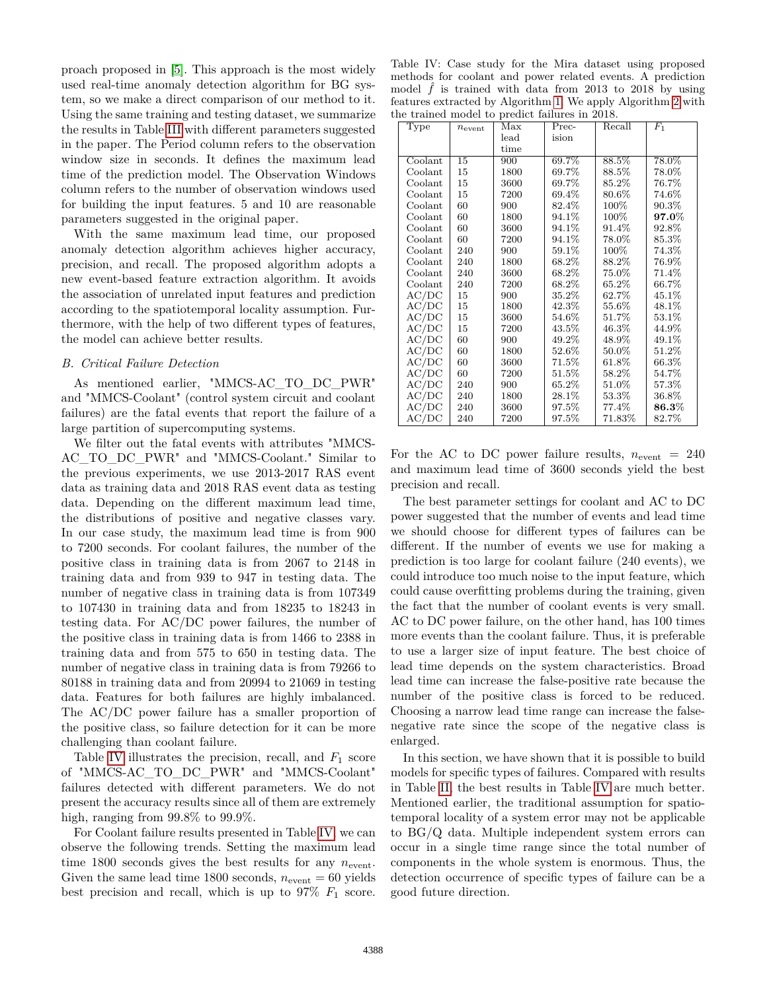proach proposed in [\[5\]](#page-8-4). This approach is the most widely used real-time anomaly detection algorithm for BG system, so we make a direct comparison of our method to it. Using the same training and testing dataset, we summarize the results in Table [III](#page-6-1) with different parameters suggested in the paper. The Period column refers to the observation window size in seconds. It defines the maximum lead time of the prediction model. The Observation Windows column refers to the number of observation windows used for building the input features. 5 and 10 are reasonable parameters suggested in the original paper.

With the same maximum lead time, our proposed anomaly detection algorithm achieves higher accuracy, precision, and recall. The proposed algorithm adopts a new event-based feature extraction algorithm. It avoids the association of unrelated input features and prediction according to the spatiotemporal locality assumption. Furthermore, with the help of two different types of features, the model can achieve better results.

## *B. Critical Failure Detection*

As mentioned earlier, "MMCS-AC\_TO\_DC\_PWR" and "MMCS-Coolant" (control system circuit and coolant failures) are the fatal events that report the failure of a large partition of supercomputing systems.

We filter out the fatal events with attributes "MMCS-AC\_TO\_DC\_PWR" and "MMCS-Coolant." Similar to the previous experiments, we use 2013-2017 RAS event data as training data and 2018 RAS event data as testing data. Depending on the different maximum lead time, the distributions of positive and negative classes vary. In our case study, the maximum lead time is from 900 to 7200 seconds. For coolant failures, the number of the positive class in training data is from 2067 to 2148 in training data and from 939 to 947 in testing data. The number of negative class in training data is from 107349 to 107430 in training data and from 18235 to 18243 in testing data. For AC/DC power failures, the number of the positive class in training data is from 1466 to 2388 in training data and from 575 to 650 in testing data. The number of negative class in training data is from 79266 to 80188 in training data and from 20994 to 21069 in testing data. Features for both failures are highly imbalanced. The AC/DC power failure has a smaller proportion of the positive class, so failure detection for it can be more challenging than coolant failure.

Table [IV](#page-7-0) illustrates the precision, recall, and  $F_1$  score of "MMCS-AC\_TO\_DC\_PWR" and "MMCS-Coolant" failures detected with different parameters. We do not present the accuracy results since all of them are extremely high, ranging from 99*.*8% to 99*.*9%.

For Coolant failure results presented in Table [IV,](#page-7-0) we can observe the following trends. Setting the maximum lead time 1800 seconds gives the best results for any  $n_{\text{event}}$ . Given the same lead time 1800 seconds,  $n_{\text{event}} = 60$  yields best precision and recall, which is up to  $97\%$   $F_1$  score.

<span id="page-7-0"></span>Table IV: Case study for the Mira dataset using proposed methods for coolant and power related events. A prediction model  $\hat{f}$  is trained with data from 2013 to 2018 by using features extracted by Algorithm [1.](#page-3-0) We apply Algorithm [2](#page-4-0) with the trained model to predict failures in 2018.

| Type    | $n_{\rm event}$ | prodice identities in<br>Max | Prec-    | Recall   | $F_1$        |
|---------|-----------------|------------------------------|----------|----------|--------------|
|         |                 | lead                         | ision    |          |              |
|         |                 | time                         |          |          |              |
| Coolant | 15              | 900                          | 69.7%    | 88.5%    | 78.0%        |
| Coolant | 15              | 1800                         | 69.7%    | 88.5%    | 78.0%        |
| Coolant | 15              | 3600                         | 69.7%    | 85.2%    | 76.7%        |
| Coolant | 15              | 7200                         | 69.4%    | 80.6%    | 74.6%        |
| Coolant | 60              | 900                          | 82.4%    | 100%     | 90.3%        |
| Coolant | 60              | 1800                         | 94.1%    | 100%     | $97.0\%$     |
| Coolant | 60              | 3600                         | 94.1%    | 91.4%    | 92.8%        |
| Coolant | 60              | 7200                         | 94.1%    | $78.0\%$ | 85.3%        |
| Coolant | 240             | 900                          | 59.1%    | 100%     | 74.3%        |
| Coolant | 240             | 1800                         | 68.2%    | 88.2%    | 76.9%        |
| Coolant | 240             | 3600                         | 68.2%    | 75.0%    | 71.4%        |
| Coolant | 240             | 7200                         | 68.2%    | 65.2%    | 66.7%        |
| AC/DC   | 15              | 900                          | 35.2%    | 62.7%    | 45.1%        |
| AC/DC   | 15              | 1800                         | 42.3%    | 55.6%    | 48.1%        |
| AC/DC   | 15              | 3600                         | 54.6%    | $51.7\%$ | 53.1%        |
| AC/DC   | 15              | 7200                         | 43.5%    | 46.3%    | 44.9%        |
| AC/DC   | 60              | 900                          | 49.2%    | 48.9%    | 49.1%        |
| AC/DC   | 60              | 1800                         | 52.6%    | $50.0\%$ | 51.2%        |
| AC/DC   | 60              | 3600                         | $71.5\%$ | 61.8%    | 66.3%        |
| AC/DC   | 60              | 7200                         | $51.5\%$ | 58.2%    | 54.7%        |
| AC/DC   | 240             | 900                          | 65.2%    | $51.0\%$ | 57.3%        |
| AC/DC   | 240             | 1800                         | 28.1%    | $53.3\%$ | 36.8%        |
| AC/DC   | 240             | 3600                         | 97.5%    | $77.4\%$ | $\bf 86.3\%$ |
| AC/DC   | 240             | 7200                         | 97.5%    | 71.83%   | 82.7%        |

For the AC to DC power failure results,  $n_{\text{event}} = 240$ and maximum lead time of 3600 seconds yield the best precision and recall.

The best parameter settings for coolant and AC to DC power suggested that the number of events and lead time we should choose for different types of failures can be different. If the number of events we use for making a prediction is too large for coolant failure (240 events), we could introduce too much noise to the input feature, which could cause overfitting problems during the training, given the fact that the number of coolant events is very small. AC to DC power failure, on the other hand, has 100 times more events than the coolant failure. Thus, it is preferable to use a larger size of input feature. The best choice of lead time depends on the system characteristics. Broad lead time can increase the false-positive rate because the number of the positive class is forced to be reduced. Choosing a narrow lead time range can increase the falsenegative rate since the scope of the negative class is enlarged.

In this section, we have shown that it is possible to build models for specific types of failures. Compared with results in Table [II,](#page-6-0) the best results in Table [IV](#page-7-0) are much better. Mentioned earlier, the traditional assumption for spatiotemporal locality of a system error may not be applicable to BG/Q data. Multiple independent system errors can occur in a single time range since the total number of components in the whole system is enormous. Thus, the detection occurrence of specific types of failure can be a good future direction.